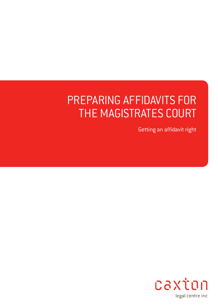# PREPARING AFFIDAVITS FOR THE MAGISTRATES COURT

Getting an affidavit right

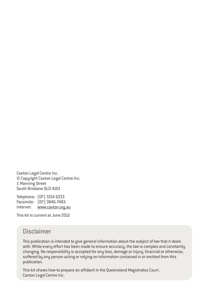Caxton Legal Centre Inc. © Copyright Caxton Legal Centre Inc. 1 Manning Street South Brisbane QLD 4101

Telephone: (07) 3214 6333 Facsimile: (07) 3846 7483 Internet: www.caxton.org.au

This kit is current at June 2012

### Disclaimer

This publication is intended to give general information about the subject of law that it deals with. While every effort has been made to ensure accuracy, the law is complex and constantly changing. No responsibility is accepted for any loss, damage or injury, financial or otherwise, suffered by any person acting or relying on information contained in or omitted from this publication.

This kit shows how to prepare an affidavit in the Queensland Magistrates Court. Caxton Legal Centre Inc.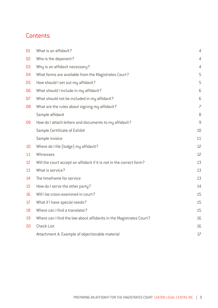## **Contents**

| 01 | What is an affidavit?                                                | $\overline{4}$           |
|----|----------------------------------------------------------------------|--------------------------|
| 02 | Who is the deponent?                                                 | $\overline{4}$           |
| 03 | Why is an affidavit necessary?                                       | $\overline{4}$           |
| 04 | What forms are available from the Magistrates Court?                 | 5                        |
| 05 | How should I set out my affidavit?                                   | 5                        |
| 06 | What should I include in my affidavit?                               | 6                        |
| 07 | What should not be included in my affidavit?                         | 6                        |
| 08 | What are the rules about signing my affidavit?                       | $\overline{\phantom{0}}$ |
|    | Sample affidavit                                                     | 8                        |
| 09 | How do I attach letters and documents to my affidavit?               | 9                        |
|    | Sample Certificate of Exhibit                                        | 10                       |
|    | Sample invoice                                                       | 11                       |
| 10 | Where do I file (lodge) my affidavit?                                | 12                       |
| 11 | Witnesses                                                            | 12                       |
| 12 | Will the court accept an affidavit if it is not in the correct form? | 13                       |
| 13 | What is service?                                                     | 13                       |
| 14 | The timeframe for service                                            | 13                       |
| 15 | How do I serve the other party?                                      | 14                       |
| 16 | Will I be cross-examined in court?                                   | 15                       |
| 17 | What if I have special needs?                                        | 15                       |
| 18 | Where can I find a translator?                                       | 15                       |
| 19 | Where can I find the law about affidavits in the Magistrates Court?  | 16                       |
| 20 | <b>Check List</b>                                                    | 16                       |
|    | Attachment A: Example of objectionable material                      | 17                       |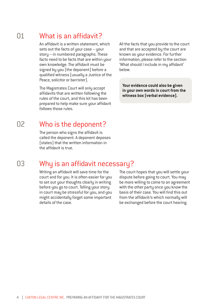### What is an affidavit? 01

An affidavit is a written statement, which sets out the facts of your case – your story – in numbered paragraphs. These facts need to be facts that are within your own knowledge. The affidavit must be signed by you (the deponent) before a qualified witness (usually a Justice of the Peace, solicitor or barrister).

The Magistrates Court will only accept affidavits that are written following the rules of the court, and this kit has been prepared to help make sure your affidavit follows those rules.

All the facts that you provide to the court and that are accepted by the court are known as your evidence. For further information, please refer to the section 'What should I include in my affidavit' below.

**Your evidence could also be given in your own words in court from the witness box (verbal evidence).**

### Who is the deponent? 02

The person who signs the affidavit is called the deponent. A deponent deposes (states) that the written information in the affidavit is true.

## 03

# Why is an affidavit necessary?

Writing an affidavit will save time for the court and for you. It is often easier for you to set out your thoughts clearly in writing before you go to court. Telling your story in court may be stressful for you, and you might accidentally forget some important details of the case.

The court hopes that you will settle your dispute before going to court. You may be more willing to come to an agreement with the other party once you know the basis of their case. You will find this out from the affidavit/s which normally will be exchanged before the court hearing.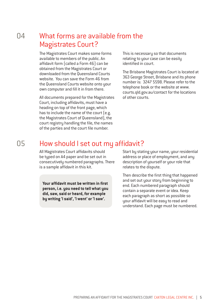### What forms are available from the Magistrates Court?  $\Omega$ 4

The Magistrates Court makes some forms available to members of the public. An affidavit form (called a Form 46) can be obtained from the Magistrates Court or downloaded from the Queensland Courts website. You can save the Form 46 from the Queensland Courts website onto your own computer and fill it in from there.

All documents prepared for the Magistrates Court, including affidavits, must have a heading on top of the front page, which has to include the name of the court [e.g.] the Magistrates Court of Queensland), the court registry handling the file, the names of the parties and the court file number.

This is necessary so that documents relating to your case can be easily identified in court.

The Brisbane Magistrates Court is located at 363 George Street, Brisbane and its phone number is: 3247 5598. Please refer to the telephone book or the website at www. courts.qld.gov.au/contact for the locations of other courts.

## How should I set out my affidavit?

All Magistrates Court affidavits should be typed on A4 paper and be set out in consecutively numbered paragraphs. There is a sample affidavit in this kit.

**Your affidavit must be written in first person, i.e. you need to tell what you did, saw, said or heard, for example by writing 'I said', 'I went' or 'I saw'.**

Start by stating your name, your residential address or place of employment, and any description of yourself or your role that relates to the dispute.

Then describe the first thing that happened and set out your story from beginning to end. Each numbered paragraph should contain a separate event or idea. Keep each paragraph as short as possible so your affidavit will be easy to read and understand. Each page must be numbered.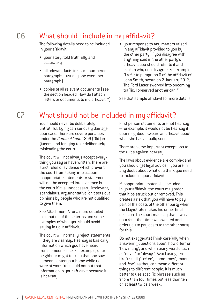### What should I include in my affidavit? 06

The following details need to be included in your affidavit:

- your story, told truthfully and accurately
- all relevant facts in short, numbered paragraphs (usually one event per paragraph)
- copies of all relevant documents (see the section headed 'How do I attach letters or documents to my affidavit?')
- your response to any matters raised in any affidavit provided to you by the other party. If you disagree with anything said in the other party's affidavit, you should refer to it and explain why you disagree. For example "I refer to paragraph 6 of the affidavit of John Smith, sworn on 2 January 2012. The Ford Laser swerved into oncoming traffic. I observed another car..."

See that sample affidavit for more details.

### What should not be included in my affidavit? 07

You should never be deliberately untruthful. Lying can seriously damage your case. There are severe penalties under the *Criminal Code* 1899 (Qld) in Queensland for lying to or deliberately misleading the court.

The court will not always accept everything you say or have written. There are strict rules of evidence which prevent the court from taking into account inappropriate statements. A statement will not be accepted into evidence by the court if it is unnecessary, irrelevant, scandalous, argumentative, or it sets out opinions by people who are not qualified to give them.

See Attachment A for a more detailed explanation of these terms and some examples of what you should avoid saying in your affidavit.

The court will normally reject statements if they are *hearsay*. Hearsay is basically information which you have heard from someone else. For example, your neighbour might tell you that she saw someone enter your home while you were at work. You could not put that information in your affidavit because it is hearsay.

First person statements are not hearsay – for example, it would not be hearsay if your neighbour swears an affidavit about what she has actually seen.

There are some important exceptions to the rules against hearsay.

The laws about evidence are complex and you should get legal advice if you are in any doubt about what you think you need to include in your affidavit.

If inappropriate material is included in your affidavit, the court may order that it be struck out or removed. This creates a risk that you will have to pay part of the costs of the other party when the Magistrate makes his or her final decision. The court may say that it was your fault that time was wasted and order you to pay costs to the other party for this.

Do not exaggerate! Think carefully when answering questions about 'how often' or 'how many', and when using words such as 'never' or 'always'. Avoid using terms like 'usually', 'often', 'sometimes', 'many' and 'few', as they can mean different things to different people. It is much better to use specific phrases such as 'more than four times but less than ten' or 'at least twice a week'.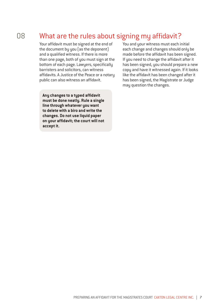### What are the rules about signing my affidavit? 08

Your affidavit must be signed at the end of the document by you (as the deponent) and a qualified witness. If there is more than one page, both of you must sign at the bottom of each page. Lawyers, specifically barristers and solicitors, can witness affidavits. A Justice of the Peace or a notary public can also witness an affidavit.

**Any changes to a typed affidavit must be done neatly. Rule a single line through whatever you want to delete with a biro and write the changes. Do not use liquid paper on your affidavit; the court will not accept it.**

You and your witness must each initial each change and changes should only be made before the affidavit has been signed. If you need to change the affidavit after it has been signed, you should prepare a new copy and have it witnessed again. If it looks like the affidavit has been changed after it has been signed, the Magistrate or Judge may question the changes.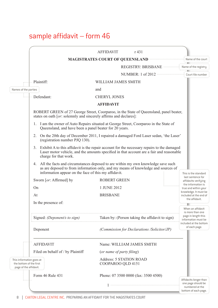# sample affidavit – form 46

|                                                                                                                                                                                                                                                          | <b>AFFIDAVIT</b>                             | r 431                                                                           |  |                                                               |  |  |
|----------------------------------------------------------------------------------------------------------------------------------------------------------------------------------------------------------------------------------------------------------|----------------------------------------------|---------------------------------------------------------------------------------|--|---------------------------------------------------------------|--|--|
|                                                                                                                                                                                                                                                          |                                              | MAGISTRATES COURT OF QUEENSLAND <b>WELLER ASSESSED ASSESS</b> Name of the court |  |                                                               |  |  |
|                                                                                                                                                                                                                                                          |                                              | REGISTRY: BRISBANE --------------- Name of the registry                         |  |                                                               |  |  |
|                                                                                                                                                                                                                                                          |                                              | NUMBER: 1 of 2012 ······················                                        |  | Court file number                                             |  |  |
| $\left\vert \cdots\right\vert \cdots$ Plaintiff:                                                                                                                                                                                                         | WILLIAM JAMES SMITH                          |                                                                                 |  |                                                               |  |  |
| Names of the parties                                                                                                                                                                                                                                     | and                                          |                                                                                 |  |                                                               |  |  |
| $\cdots$ Defendant:                                                                                                                                                                                                                                      | <b>CHERYL JONES</b>                          |                                                                                 |  |                                                               |  |  |
|                                                                                                                                                                                                                                                          | <b>AFFIDAVIT</b>                             |                                                                                 |  |                                                               |  |  |
| ROBERT GREEN of 27 George Street, Coorparoo, in the State of Queensland, panel beater,<br>states on oath [or: solemnly and sincerely affirms and declares]:                                                                                              |                                              |                                                                                 |  |                                                               |  |  |
| 1. I am the owner of Auto Repairs situated at George Street, Coorparoo in the State of<br>Queensland, and have been a panel beater for 20 years.                                                                                                         |                                              |                                                                                 |  |                                                               |  |  |
| On the 20th day of December 2011, I repaired a damaged Ford Laser sedan, 'the Laser'<br>2.<br>(registration number PJQ 130).                                                                                                                             |                                              |                                                                                 |  |                                                               |  |  |
| Exhibit A to this affidavit is the repair account for the necessary repairs to the damaged<br>3.<br>Laser motor vehicle, and the amounts specified in that account are a fair and reasonable<br>charge for that work.                                    |                                              |                                                                                 |  |                                                               |  |  |
| 4. All the facts and circumstances deposed to are within my own knowledge save such<br>as are deposed to from information only, and my means of knowledge and sources of<br>information appear on the face of this my affidavit.<br>This is the standard |                                              |                                                                                 |  |                                                               |  |  |
| Sworn [or: Affirmed] by                                                                                                                                                                                                                                  | <b>ROBERT GREEN</b>                          |                                                                                 |  | last sentence for<br>affidavits verifying                     |  |  |
| On                                                                                                                                                                                                                                                       | 1 JUNE 2012                                  |                                                                                 |  | the information is<br>true and within your                    |  |  |
| At                                                                                                                                                                                                                                                       | <b>BRISBANE</b>                              |                                                                                 |  | knowledge. It must be<br>included at the end of               |  |  |
| In the presence of:                                                                                                                                                                                                                                      |                                              |                                                                                 |  | the affidavit.<br>. <b>.</b>                                  |  |  |
|                                                                                                                                                                                                                                                          |                                              |                                                                                 |  | When an affidavit<br>is more than one                         |  |  |
| Signed: (Deponent/s to sign)                                                                                                                                                                                                                             |                                              | Taken by: (Person taking the affidavit to sign)                                 |  | page in length this<br>information must be                    |  |  |
| Deponent                                                                                                                                                                                                                                                 |                                              | (Commission for Declarations /Solicitor/JP)                                     |  | included at the bottom<br>of each page.                       |  |  |
| <b>AFFIDAVIT</b>                                                                                                                                                                                                                                         |                                              | Name: WILLIAM JAMES SMITH                                                       |  |                                                               |  |  |
| Filed on behalf of / by Plaintiff                                                                                                                                                                                                                        | (or name of party filing)                    |                                                                                 |  |                                                               |  |  |
| This information goes at<br>the bottom of the first<br>page of the affidavit.                                                                                                                                                                            | Address: 5 STATION ROAD<br>COOPAROO QLD 4151 |                                                                                 |  |                                                               |  |  |
| Form 46 Rule 431                                                                                                                                                                                                                                         |                                              | Phone: 07 3500 0000 (fax: 3500 4500)                                            |  | Affidavits longer than                                        |  |  |
|                                                                                                                                                                                                                                                          |                                              |                                                                                 |  | one page should be<br>numbered at the<br>bottom of each page. |  |  |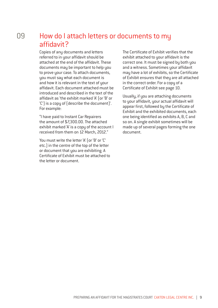### How do I attach letters or documents to my affidavit? 09

Copies of any documents and letters referred to in your affidavit should be attached at the end of the affidavit. These documents may be important to help you to prove your case. To attach documents, you must say what each document is and how it is relevant in the text of your affidavit. Each document attached must be introduced and described in the text of the affidavit as 'the exhibit marked 'A' (or 'B' or 'C') is a copy of (describe the document)'. For example:

"I have paid to Instant Car Repairers the amount of \$7,300.00. The attached exhibit marked 'A' is a copy of the account I received from them on 12 March, 2012."

You must write the letter 'A' (or 'B' or 'C' etc.) in the centre of the top of the letter or document that you are exhibiting. A Certificate of Exhibit must be attached to the letter or document.

The Certificate of Exhibit verifies that the exhibit attached to your affidavit is the correct one. It must be signed by both you and a witness. Sometimes your affidavit may have a lot of exhibits, so the Certificate of Exhibit ensures that they are all attached in the correct order. For a copy of a Certificate of Exhibit see page 10.

Usually, if you are attaching documents to your affidavit, your actual affidavit will appear first, followed by the Certificate of Exhibit and the exhibited documents, each one being identified as exhibits A, B, C and so on. A single exhibit sometimes will be made up of several pages forming the one document.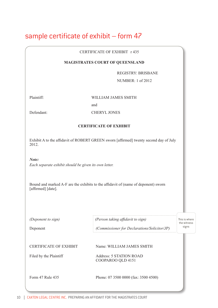# sample certificate of exhibit – form 47

### CERTIFICATE OF EXHIBIT r 435

### **MAGISTRATES COURT OF QUEENSLAND**

REGISTRY: BRISBANE

بتنبيبا النسر

NUMBER: 1 of 2012

Plaintiff: WILLIAM JAMES SMITH

and

### Defendant: CHERYL JONES

### **CERTIFICATE OF EXHIBIT**

Exhibit A to the affidavit of ROBERT GREEN sworn [affirmed] twenty second day of July 2012.

*Note: Each separate exhibit should be given its own letter.*

Bound and marked A-F are the exhibits to the affidavit of (name of deponent) sworn [affirmed] [date].

| (Deponent to sign)<br>Deponent                          | (Person taking affidavit to sign)<br>(Commissioner for Declarations/Solicitor/JP) | This is where<br>the witness<br>signs |
|---------------------------------------------------------|-----------------------------------------------------------------------------------|---------------------------------------|
| <b>CERTIFICATE OF EXHIBIT</b><br>Filed by the Plaintiff | Name: WILLIAM JAMES SMITH<br>Address: 5 STATION ROAD<br>COOPAROO QLD 4151         |                                       |
| Form 47 Rule 435                                        | Phone: 07 3500 0000 (fax: 3500 4500)                                              |                                       |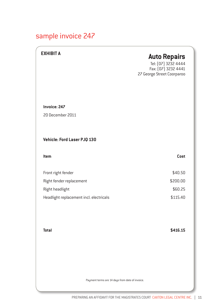# sample invoice 247

| <b>EXHIBIT A</b>                                | <b>Auto Repairs</b><br>Tel: [07] 3232 4444<br>Fax: (07) 3232 4441<br>27 George Street Coorparoo |
|-------------------------------------------------|-------------------------------------------------------------------------------------------------|
| Invoice: 247                                    |                                                                                                 |
| 20 December 2011                                |                                                                                                 |
| <b>Vehicle: Ford Laser PJQ 130</b>              |                                                                                                 |
| Item                                            | Cost                                                                                            |
| Front right fender                              | \$40.50                                                                                         |
| Right fender replacement                        | \$200.00                                                                                        |
| Right headlight                                 | \$60.25                                                                                         |
| Headlight replacement incl. electricals         | \$115.40                                                                                        |
|                                                 |                                                                                                 |
| <b>Total</b>                                    | \$416.15                                                                                        |
| Payment terms are 14 days from date of invoice. |                                                                                                 |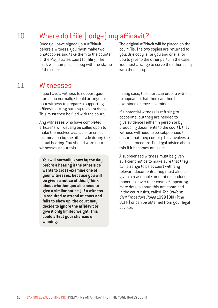### Where do I file (lodge) my affidavit? 10

Once you have signed your affidavit before a witness, you must make two photocopies and take them to the counter of the Magistrates Court for filing. The clerk will stamp each copy with the stamp of the court.

The original affidavit will be placed on the court file. The two copies are returned to you. One copy is for you and one is for you to give to the other party in the case. You must arrange to serve the other party with their copy.

### **Witnesses** 11

If you have a witness to support your story, you normally should arrange for your witness to prepare a supporting affidavit setting out any relevant facts. This must then be filed with the court.

Any witnesses who have completed affidavits will usually be called upon to make themselves available for crossexamination by the other side during the actual hearing. You should warn your witnesses about this.

**You will normally know by the day before a hearing if the other side wants to cross-examine one of your witnesses, because you will be given a notice of this. (Think about whether you also need to give a similar notice.) If a witness is required to attend at court and fails to show up, the court may decide to ignore the affidavit or give it only limited weight. This could affect your chances of winning.** 

In any case, the court can order a witness to appear so that they can then be examined or cross-examined.

If a potential witness is refusing to cooperate, but they are needed to give evidence (either in person or by producing documents to the court), that witness will need to be subpoenaed to ensure that they comply. This involves a special procedure. Get legal advice about this if it becomes an issue.

A subpoenaed witness must be given sufficient notice to make sure that they can arrange to be at court with any relevant documents. They must also be given a reasonable amount of conduct money to cover their costs of appearing. More details about this are contained in the court rules, called The Uniform Civil Procedure Rules 1999 (Qld) (the UCPR) or can be obtained from your legal advisor.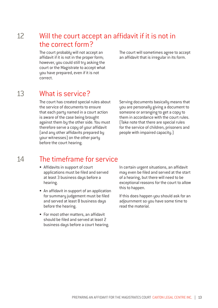### Will the court accept an affidavit if it is not in the correct form? 12

The court probably will not accept an affidavit if it is not in the proper form; however, you could still try asking the court or the Magistrate to accept what you have prepared, even if it is not correct.

The court will sometimes agree to accept an affidavit that is irregular in its form.

### What is service? 13

The court has created special rules about the service of documents to ensure that each party named in a court action is aware of the case being brought against them by the other side. You must therefore serve a copy of your affidavit (and any other affidavits prepared by your witnesses) on the other party before the court hearing.

Serving documents basically means that you are personally giving a document to someone or arranging to get a copy to them in accordance with the court rules. (Take note that there are special rules for the service of children, prisoners and people with impaired capacity.)

### The timeframe for service  $14$

- Affidavits in support of court applications must be filed and served at least 3 business days before a hearing.
- An affidavit in support of an application for summary judgement must be filed and served at least 8 business days before the hearing.
- For most other matters, an affidavit should be filed and served at least 2 business days before a court hearing.

In certain urgent situations, an affidavit may even be filed and served at the start of a hearing, but there will need to be exceptional reasons for the court to allow this to happen.

If this does happen you should ask for an adjournment so you have some time to read the material.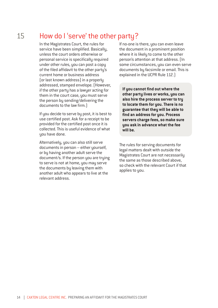### How do I 'serve' the other party? 15

In the Magistrates Court, the rules for service have been simplified. Basically, unless the court orders otherwise or personal service is specifically required under other rules, you can post a copy of the filed affidavit to the other party's current home or business address (or last known address) in a properly addressed, stamped envelope. (However, if the other party has a lawyer acting for them in the court case, you must serve the person by sending/delivering the documents to the law firm.)

If you decide to serve by post, it is best to use certified post. Ask for a receipt to be provided for the certified post once it is collected. This is useful evidence of what uou have done.

Alternatively, you can also still serve documents in person – either yourself, or by having another adult serve the document/s. If the person you are trying to serve is not at home, you may serve the documents by leaving them with another adult who appears to live at the relevant address.

If no-one is there, you can even leave the document in a prominent position where it is likely to come to the other person's attention at that address. (In some circumstances, you can even serve documents by facsimile or email. This is explained in the UCPR Rule 112.)

**If you cannot find out where the other party lives or works, you can also hire the process server to try to locate them for you. There is no guarantee that they will be able to find an address for you. Process servers charge fees, so make sure you ask in advance what the fee will be.**

The rules for serving documents for legal matters dealt with outside the Magistrates Court are not necessarily the same as those described above, so check with the relevant Court if that applies to you.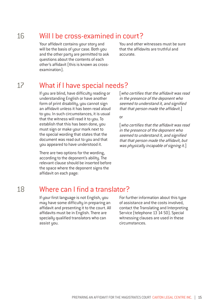### Will I be cross-examined in court? 16

Your affidavit contains your story and will be the basis of your case. Both you and the other party are permitted to ask questions about the contents of each other's affidavit (this is known as crossexamination).

You and other witnesses must be sure that the affidavits are truthful and accurate.

### What if I have special needs? 17

If you are blind, have difficulty reading or understanding English or have another form of print disability, you cannot sign an affidavit unless it has been read aloud to you. In such circumstances, it is usual that the witness will read it to you. To establish that this has been done, you must sign or make your mark next to the special wording that states that the document was read out to you and that you appeared to have understood it.

There are two options for the wording, according to the deponent's ability. The relevant clause should be inserted before the space where the deponent signs the affidavit on each page:

[who certifies that the affidavit was read in the presence of the deponent who seemed to understand it, and signified that that person made the affidavit.]

or

[who certifies that the affidavit was read in the presence of the deponent who seemed to understand it, and signified that that person made the affidavit, but was physically incapable of signing it.]

#### Where can I find a translator? 18

If your first language is not English, you may have some difficulty in preparing an affidavit and presenting it to the court. All affidavits must be in English. There are specially qualified translators who can assist you.

For further information about this type of assistance and the costs involved, contact the Translating and Interpreting Service (telephone 13 14 50). Special witnessing clauses are used in these circumstances.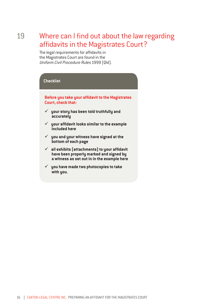### Where can I find out about the law regarding affidavits in the Magistrates Court? 19

The legal requirements for affidavits in the Magistrates Court are found in the Uniform Civil Procedure Rules 1999 (Qld).

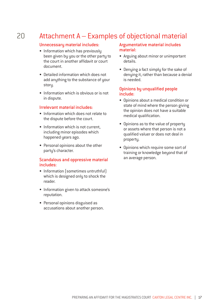### Attachment A – Examples of objectional material 20

### Unnecessary material includes:

- Information which has previously been given by you or the other party to the court in another affidavit or court document.
- Detailed information which does not add anything to the substance of your story.
- Information which is obvious or is not in dispute.

### Irrelevant material includes:

- Information which does not relate to the dispute before the court.
- Information which is not current, including minor episodes which happened years ago.
- Personal opinions about the other party's character.

### Scandalous and oppressive material includes:

- Information (sometimes untruthful) which is designed only to shock the reader.
- Information given to attack someone's reputation.
- Personal opinions disguised as accusations about another person.

### Argumentative material includes material:

- Arguing about minor or unimportant details.
- Denying a fact simply for the sake of denying it, rather than because a denial is needed.

### Opinions by unqualified people include:

- Opinions about a medical condition or state of mind where the person giving the opinion does not have a suitable medical qualification.
- Opinions as to the value of property or assets where that person is not a qualified valuer or does not deal in property.
- Opinions which require some sort of training or knowledge beyond that of an average person.